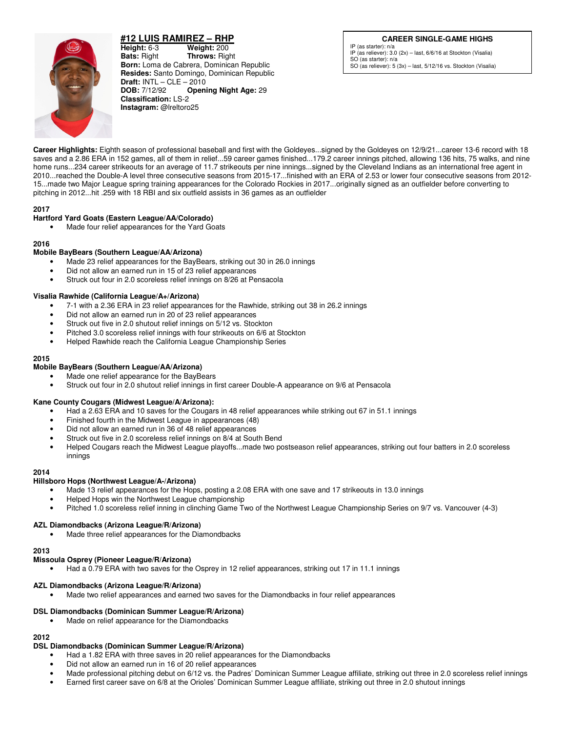# **#12 LUIS RAMIREZ – RHP**



**Height:** 6-3 **Weight:** 200 **Bats:** Right **Throws:** Rig **Bats:** Right **Throws:** Right **Born:** Loma de Cabrera, Dominican Republic **Resides:** Santo Domingo, Dominican Republic **Draft: INTL – CLE – 2010<br><b>DOB:** 7/12/92 **Open Opening Night Age: 29 Classification:** LS-2 **Instagram:** @lreltoro25

## **CAREER SINGLE-GAME HIGHS**

IP (as starter): n/a IP (as reliever): 3.0 (2x) – last, 6/6/16 at Stockton (Visalia) SO (as starter): n/a SO (as reliever): 5 (3x) – last, 5/12/16 vs. Stockton (Visalia)

**Career Highlights:** Eighth season of professional baseball and first with the Goldeyes...signed by the Goldeyes on 12/9/21...career 13-6 record with 18 saves and a 2.86 ERA in 152 games, all of them in relief...59 career games finished...179.2 career innings pitched, allowing 136 hits, 75 walks, and nine home runs...234 career strikeouts for an average of 11.7 strikeouts per nine innings...signed by the Cleveland Indians as an international free agent in 2010...reached the Double-A level three consecutive seasons from 2015-17...finished with an ERA of 2.53 or lower four consecutive seasons from 2012- 15...made two Major League spring training appearances for the Colorado Rockies in 2017...originally signed as an outfielder before converting to pitching in 2012...hit .259 with 18 RBI and six outfield assists in 36 games as an outfielder

## **2017**

## **Hartford Yard Goats (Eastern League/AA/Colorado)**

Made four relief appearances for the Yard Goats

## **2016**

## **Mobile BayBears (Southern League/AA/Arizona)**

- Made 23 relief appearances for the BayBears, striking out 30 in 26.0 innings
- Did not allow an earned run in 15 of 23 relief appearances
- Struck out four in 2.0 scoreless relief innings on 8/26 at Pensacola

## **Visalia Rawhide (California League/A+/Arizona)**

- 7-1 with a 2.36 ERA in 23 relief appearances for the Rawhide, striking out 38 in 26.2 innings
- Did not allow an earned run in 20 of 23 relief appearances
- Struck out five in 2.0 shutout relief innings on 5/12 vs. Stockton
- Pitched 3.0 scoreless relief innings with four strikeouts on 6/6 at Stockton
- Helped Rawhide reach the California League Championship Series

#### **2015**

## **Mobile BayBears (Southern League/AA/Arizona)**

- Made one relief appearance for the BayBears
- Struck out four in 2.0 shutout relief innings in first career Double-A appearance on 9/6 at Pensacola

## **Kane County Cougars (Midwest League/A/Arizona):**

- Had a 2.63 ERA and 10 saves for the Cougars in 48 relief appearances while striking out 67 in 51.1 innings
- Finished fourth in the Midwest League in appearances (48)
- Did not allow an earned run in 36 of 48 relief appearances
- Struck out five in 2.0 scoreless relief innings on 8/4 at South Bend
- Helped Cougars reach the Midwest League playoffs...made two postseason relief appearances, striking out four batters in 2.0 scoreless innings

#### **2014**

## **Hillsboro Hops (Northwest League/A-/Arizona)**

- Made 13 relief appearances for the Hops, posting a 2.08 ERA with one save and 17 strikeouts in 13.0 innings
- Helped Hops win the Northwest League championship
- Pitched 1.0 scoreless relief inning in clinching Game Two of the Northwest League Championship Series on 9/7 vs. Vancouver (4-3)

## **AZL Diamondbacks (Arizona League/R/Arizona)**

Made three relief appearances for the Diamondbacks

**2013** 

#### **Missoula Osprey (Pioneer League/R/Arizona)**

• Had a 0.79 ERA with two saves for the Osprey in 12 relief appearances, striking out 17 in 11.1 innings

## **AZL Diamondbacks (Arizona League/R/Arizona)**

• Made two relief appearances and earned two saves for the Diamondbacks in four relief appearances

## **DSL Diamondbacks (Dominican Summer League/R/Arizona)**

Made on relief appearance for the Diamondbacks

## **2012**

## **DSL Diamondbacks (Dominican Summer League/R/Arizona)**

- Had a 1.82 ERA with three saves in 20 relief appearances for the Diamondbacks
- Did not allow an earned run in 16 of 20 relief appearances
- Made professional pitching debut on 6/12 vs. the Padres' Dominican Summer League affiliate, striking out three in 2.0 scoreless relief innings
- Earned first career save on 6/8 at the Orioles' Dominican Summer League affiliate, striking out three in 2.0 shutout innings